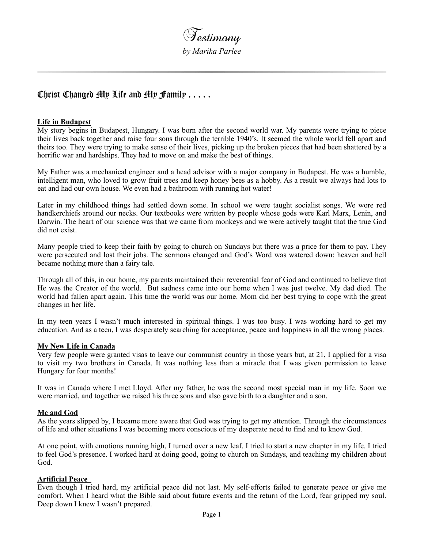

# Christ Changed My Life and My Family . . . . .

#### **Life in Budapest**

My story begins in Budapest, Hungary. I was born after the second world war. My parents were trying to piece their lives back together and raise four sons through the terrible 1940's. It seemed the whole world fell apart and theirs too. They were trying to make sense of their lives, picking up the broken pieces that had been shattered by a horrific war and hardships. They had to move on and make the best of things.

My Father was a mechanical engineer and a head advisor with a major company in Budapest. He was a humble, intelligent man, who loved to grow fruit trees and keep honey bees as a hobby. As a result we always had lots to eat and had our own house. We even had a bathroom with running hot water!

Later in my childhood things had settled down some. In school we were taught socialist songs. We wore red handkerchiefs around our necks. Our textbooks were written by people whose gods were Karl Marx, Lenin, and Darwin. The heart of our science was that we came from monkeys and we were actively taught that the true God did not exist.

Many people tried to keep their faith by going to church on Sundays but there was a price for them to pay. They were persecuted and lost their jobs. The sermons changed and God's Word was watered down; heaven and hell became nothing more than a fairy tale.

Through all of this, in our home, my parents maintained their reverential fear of God and continued to believe that He was the Creator of the world. But sadness came into our home when I was just twelve. My dad died. The world had fallen apart again. This time the world was our home. Mom did her best trying to cope with the great changes in her life.

In my teen years I wasn't much interested in spiritual things. I was too busy. I was working hard to get my education. And as a teen, I was desperately searching for acceptance, peace and happiness in all the wrong places.

#### **My New Life in Canada**

Very few people were granted visas to leave our communist country in those years but, at 21, I applied for a visa to visit my two brothers in Canada. It was nothing less than a miracle that I was given permission to leave Hungary for four months!

It was in Canada where I met Lloyd. After my father, he was the second most special man in my life. Soon we were married, and together we raised his three sons and also gave birth to a daughter and a son.

#### **Me and God**

As the years slipped by, I became more aware that God was trying to get my attention. Through the circumstances of life and other situations I was becoming more conscious of my desperate need to find and to know God.

At one point, with emotions running high, I turned over a new leaf. I tried to start a new chapter in my life. I tried to feel God's presence. I worked hard at doing good, going to church on Sundays, and teaching my children about God.

## **Artificial Peace**

Even though I tried hard, my artificial peace did not last. My self-efforts failed to generate peace or give me comfort. When I heard what the Bible said about future events and the return of the Lord, fear gripped my soul. Deep down I knew I wasn't prepared.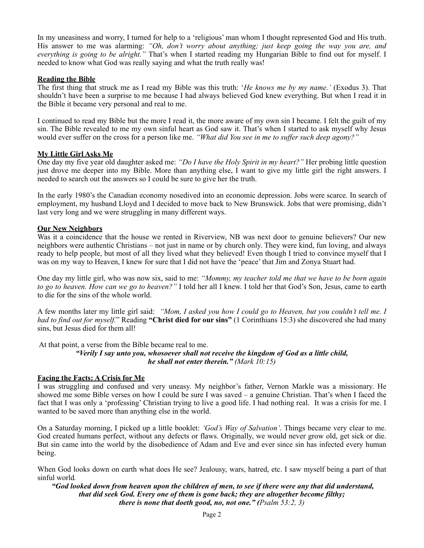In my uneasiness and worry, I turned for help to a 'religious' man whom I thought represented God and His truth. His answer to me was alarming: *"Oh, don't worry about anything; just keep going the way you are, and everything is going to be alright."* That's when I started reading my Hungarian Bible to find out for myself. I needed to know what God was really saying and what the truth really was!

#### **Reading the Bible**

The first thing that struck me as I read my Bible was this truth: '*He knows me by my name.'* (Exodus 3). That shouldn't have been a surprise to me because I had always believed God knew everything. But when I read it in the Bible it became very personal and real to me.

I continued to read my Bible but the more I read it, the more aware of my own sin I became. I felt the guilt of my sin. The Bible revealed to me my own sinful heart as God saw it. That's when I started to ask myself why Jesus would ever suffer on the cross for a person like me. *"What did You see in me to suffer such deep agony?"*

#### **My Little Girl Asks Me**

One day my five year old daughter asked me: *"Do I have the Holy Spirit in my heart?"* Her probing little question just drove me deeper into my Bible. More than anything else, I want to give my little girl the right answers. I needed to search out the answers so I could be sure to give her the truth.

In the early 1980's the Canadian economy nosedived into an economic depression. Jobs were scarce. In search of employment, my husband Lloyd and I decided to move back to New Brunswick. Jobs that were promising, didn't last very long and we were struggling in many different ways.

#### **Our New Neighbors**

Was it a coincidence that the house we rented in Riverview, NB was next door to genuine believers? Our new neighbors were authentic Christians – not just in name or by church only. They were kind, fun loving, and always ready to help people, but most of all they lived what they believed! Even though I tried to convince myself that I was on my way to Heaven, I knew for sure that I did not have the 'peace' that Jim and Zonya Stuart had.

One day my little girl, who was now six, said to me: *"Mommy, my teacher told me that we have to be born again to go to heaven. How can we go to heaven?"* I told her all I knew. I told her that God's Son, Jesus, came to earth to die for the sins of the whole world.

A few months later my little girl said: *"Mom, I asked you how I could go to Heaven, but you couldn't tell me. I had to find out for myself.*" Reading **"Christ died for our sins"** (1 Corinthians 15:3) she discovered she had many sins, but Jesus died for them all!

At that point, a verse from the Bible became real to me.

#### *"Verily I say unto you, whosoever shall not receive the kingdom of God as a little child, he shall not enter therein." (Mark 10:15)*

## **Facing the Facts: A Crisis for Me**

I was struggling and confused and very uneasy. My neighbor's father, Vernon Markle was a missionary. He showed me some Bible verses on how I could be sure I was saved – a genuine Christian. That's when I faced the fact that I was only a 'professing' Christian trying to live a good life. I had nothing real. It was a crisis for me. I wanted to be saved more than anything else in the world.

On a Saturday morning, I picked up a little booklet: *'God's Way of Salvation'*. Things became very clear to me. God created humans perfect, without any defects or flaws. Originally, we would never grow old, get sick or die. But sin came into the world by the disobedience of Adam and Eve and ever since sin has infected every human being.

When God looks down on earth what does He see? Jealousy, wars, hatred, etc. I saw myself being a part of that sinful world*.*

 *"God looked down from heaven upon the children of men, to see if there were any that did understand, that did seek God. Every one of them is gone back; they are altogether become filthy; there is none that doeth good, no, not one." (Psalm 53:2, 3)*